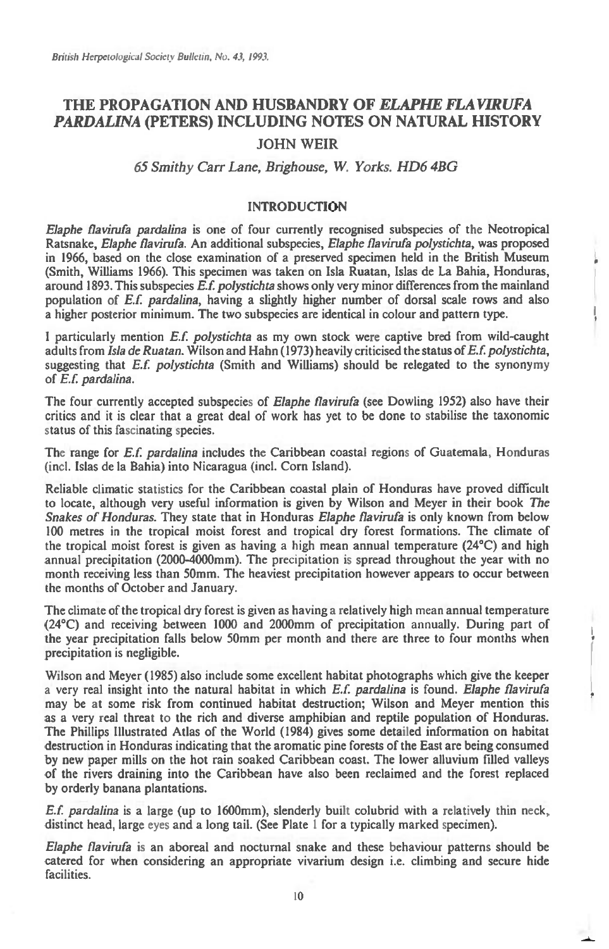# **THE PROPAGATION AND HUSBANDRY OF** *ELAPHE FLAVIRUFA PARDALINA* **(PETERS) INCLUDING NOTES ON NATURAL HISTORY**

## **JOHN WEIR**

### *65 Smithy Carr Lane, Brighouse, W. Yorks. HD6 4BG*

#### **INTRODUCTION**

*Elaphe flavirufa pardalina* **is one of four currently recognised subspecies of the Neotropical Ratsnake,** *Elaphe flavirufa.* **An additional subspecies,** *Elaphe flavirufa polystichta,* **was proposed in 1966, based on the close examination of a preserved specimen held in the British Museum (Smith, Williams 1966). This specimen was taken on Isla Ruatan, Islas de La Bahia, Honduras, around 1893. This subspecies** *E.f polystichta* **shows only very minor differences from the mainland population of** *ES. pardalina,* **having a slightly higher number of dorsal scale rows and also a higher posterior minimum. The two subspecies are identical in colour and pattern type.** 

**I particularly mention** *E.f polystichta as* **my own stock were captive bred from wild-caught adults from** *Isla de Ruatan.* **Wilson and Hahn (1973) heavily criticised the status of** *Ef. polystichta,*  **suggesting that** *Ef. polystichta* **(Smith and Williams) should be relegated to the synonymy of** *E.f. pardalina.* 

**The four currently accepted subspecies of** *Elaphe flavirufa* **(see Dowling 1952) also have their critics and it is clear that a great deal of work has yet to be done to stabilise the taxonomic**  status of this fascinating species.

**The range for** *E.f pardalina* **includes the Caribbean coastal regions of Guatemala, Honduras (incl. Islas de la Bahia) into Nicaragua (incl. Corn Island).** 

**Reliable climatic statistics for the Caribbean coastal plain of Honduras have proved difficult to locate, although very useful information is given by Wilson and Meyer in their book** *The Snakes of Honduras.* **They state that in Honduras** *Elaphe flavirufa* **is only known from below 100 metres in the tropical moist forest and tropical dry forest formations. The climate of the tropical moist forest is given as having** a **high mean annual temperature (24°C) and high annual precipitation (2000-4000mm). The precipitation is spread throughout the year with no month receiving less than 50mm. The heaviest precipitation however appears to occur between the months of October and January.** 

**The climate of the tropical dry forest is given as having a relatively high mean annual temperature (24°C) and receiving between 1000 and 2000mm of precipitation annually. During part of the year precipitation falls below 50mm per month and there are three to four months when precipitation is negligible.** 

**Wilson and Meyer (1985) also include some excellent habitat photographs which give the keeper a very real insight into the natural habitat in which** *E.f. pardalina* **is found.** *Elaphe flavirufa*  **may be at some risk from continued habitat destruction; Wilson and Meyer mention this as a very real threat to the rich and diverse amphibian and reptile population of Honduras. The Phillips Illustrated Atlas of the World (1984) gives some detailed information on habitat destruction in Honduras indicating that the aromatic pine forests of the East are being consumed by new paper mills on the hot rain soaked Caribbean coast. The lower alluvium filled valleys of the rivers draining into the Caribbean have also been reclaimed and the forest replaced by orderly banana plantations.** 

*E.f pardalina is* **a large (up to 1600mm), slenderly built colubrid with a relatively thin neck, distinct head, large eyes and a long tail. (See Plate 1 for a typically marked specimen).** 

*Elaphe flavirufa is* **an aboreal and nocturnal snake and these behaviour patterns should be catered for when considering an appropriate vivarium design i.e. climbing and secure hide facilities.**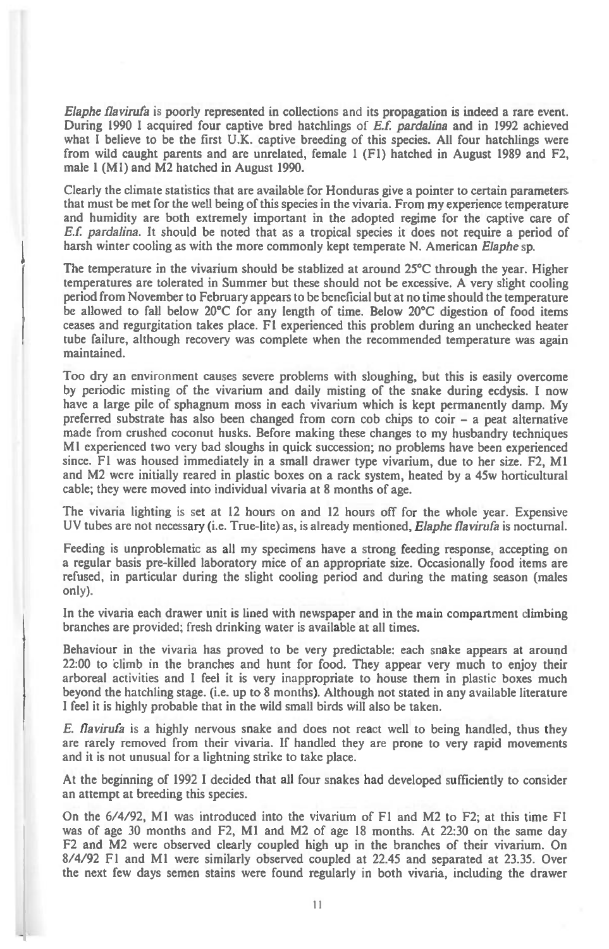*Elaphe flavirufa* **is poorly represented in collections and its propagation is indeed a rare event. During 1990 I acquired four captive bred hatchlings of** *E.f. pardalina* **and in 1992 achieved what I believe to be the first U.K. captive breeding of this species. All four hatchlings were from wild caught parents and are unrelated, female 1 (F1) hatched in August 1989 and F2, male 1 (M1) and M2 hatched in August 1990.** 

**Clearly the climate statistics that are available for Honduras give a pointer to certain parameters that must be met for the well being of this species in the vivaria. From my experience temperature and humidity are both extremely important in the adopted regime for the captive care of**  *E.f. pardalina.* **It should be noted that as a tropical species it does not require a period of harsh winter cooling as with the more commonly kept temperate N. American** *Elaphe* **sp.** 

**The temperature in the vivarium should be stablized at around 25°C through the year. Higher temperatures are tolerated in Summer but these should not be excessive. A very slight cooling period from November to February appears to be beneficial but at no time should the temperature be allowed to fall below 20°C for any length of time. Below 20°C digestion of food items ceases and regurgitation takes place. F1 experienced this problem during an unchecked heater tube failure, although recovery was complete when the recommended temperature was again maintained.** 

**Too dry an environment causes severe problems with sloughing, but this is easily overcome by periodic misting of the vivarium and daily misting of the snake during ecdysis. I now have a large pile of sphagnum moss in each vivarium which is kept permanently damp. My preferred substrate has also been changed from corn cob chips to coir — a peat alternative made from crushed coconut husks. Before making these changes to my husbandry techniques MI experienced two very bad sloughs in quick succession; no problems have been experienced since. F1 was housed immediately in a small drawer type vivarium, due to her size. F2, M1 and M2 were initially reared in plastic boxes on a rack system, heated by a 45w horticultural cable; they were moved into individual vivaria at 8 months of age.** 

**The vivaria lighting is set at 12 hours on and 12 hours off for the whole year. Expensive UV tubes are not necessary (i.e. True-lite) as, is already mentioned,** *Elaphe flavirufa* **is nocturnal.** 

**Feeding is unproblematic as all my specimens have a strong feeding response, accepting on a regular basis pre-killed laboratory mice of an appropriate size. Occasionally food items are refused, in particular during the slight cooling period and during the mating season (males only).** 

**In the vivaria each drawer unit is lined with newspaper and in the main compartment climbing branches are provided; fresh drinking water is available at all times.** 

**Behaviour in the vivaria has proved to be very predictable: each snake appears at around 22:00 to climb in the branches and hunt for food. They appear very much to enjoy their arboreal activities and I feel it is very inappropriate to house them in plastic boxes much beyond the hatchling stage. (i.e. up to 8 months). Although not stated in any available literature I feel it is highly probable that in the wild small birds will also be taken.** 

*E. flavirufa is* **a highly nervous snake and does not react well to being handled, thus they are rarely removed from their vivaria. If handled they are prone to very rapid movements and it is not unusual for a lightning strike to take place.** 

**At the beginning of 1992 I decided that all four snakes had developed sufficiently to consider an attempt at breeding this species.** 

**On the 6/4/92, M1 was introduced into the vivarium of F1 and M2 to F2; at this time F1 was of age 30 months and F2, MI and M2 of age 18 months. At 22:30 on the same day F2 and M2 were observed clearly coupled high up in the branches of their vivarium. On 8/4/92 F I and MI were similarly observed coupled at 22.45 and separated at 23.35. Over the next few days semen stains were found regularly in both vivaria, including the drawer**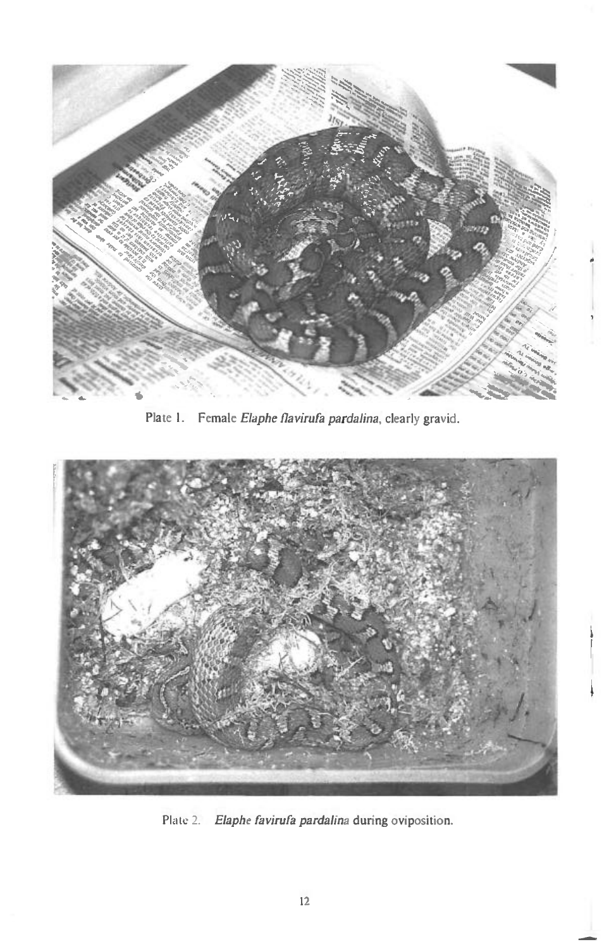

Female *Elaphe Ilavirufa pardalina,* clearly gravid. Plate 1.



2. Elaphe favirufa pardalina during oviposition.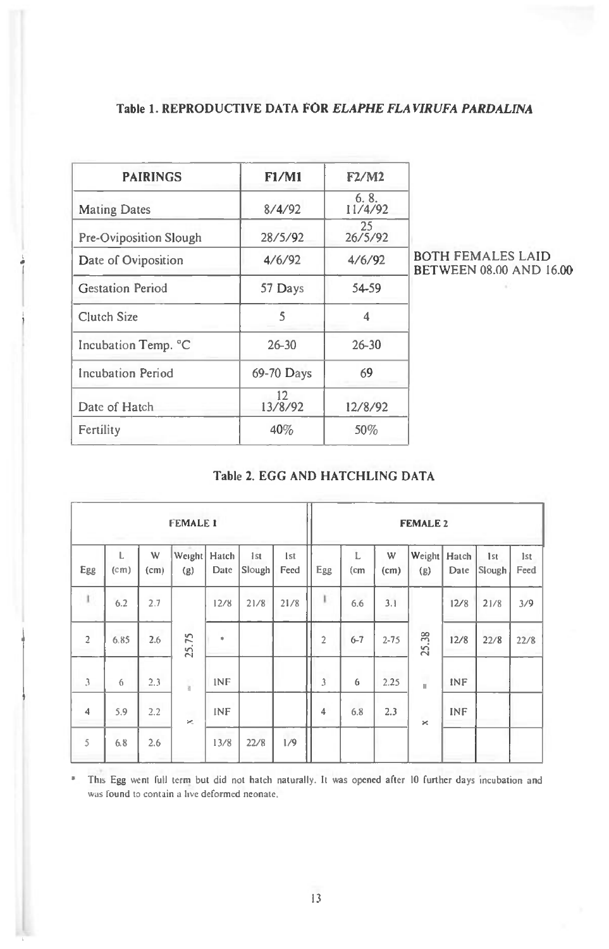## **Table 1. REPRODUCTIVE DATA FOR** *ELAPHE FLAVIRUFA PARDALINA*

| PAIRINGS                | F1/M1         | F2/M2           |  |  |
|-------------------------|---------------|-----------------|--|--|
| <b>Mating Dates</b>     | 8/4/92        | 6.8.<br>11/4/92 |  |  |
| Pre-Oviposition Slough  | 28/5/92       | 25<br>26/5/92   |  |  |
| Date of Oviposition     | 4/6/92        | 4/6/92          |  |  |
| <b>Gestation Period</b> | 57 Days       | 54-59           |  |  |
| Clutch Size             | 5             | 4               |  |  |
| Incubation Temp. °C     | $26 - 30$     | $26 - 30$       |  |  |
| Incubation Period       | 69-70 Days    | 69              |  |  |
| Date of Hatch           | 12<br>13/8/92 | 12/8/92         |  |  |
| Fertility               | 40%           | 50%             |  |  |

BOTH FEMALES LAID BETWEEN 08.00 AND 16.00

## **Table 2. EGG AND HATCHLING DATA**

| <b>FEMALE 1</b> |           |                        |               |               |               | <b>FEMALE 2</b> |                |                        |           |                   |               |               |             |
|-----------------|-----------|------------------------|---------------|---------------|---------------|-----------------|----------------|------------------------|-----------|-------------------|---------------|---------------|-------------|
| Egg             | L<br>(cm) | W<br>(c <sub>m</sub> ) | Weight<br>(g) | Hatch<br>Date | Ist<br>Slough | Ist<br>Feed     | Egg            | L<br>(c <sub>m</sub> ) | W<br>(cm) | Weight<br>(g)     | Hatch<br>Date | 1st<br>Slough | 1st<br>Feed |
| t               | 6.2       | 2.7                    |               | 12/8          | 21/8          | 21/8            | ī              | 6.6                    | 3.1       |                   | 12/8          | 21/8          | 3/9         |
| $\overline{c}$  | 6.85      | 2.6                    | 25.75         | $\frac{1}{2}$ |               |                 | $\overline{2}$ | $6 - 7$                | $2 - 75$  | 25.38             | 12/8          | 22/8          | 22/8        |
| $\mathfrak{Z}$  | 6         | 2.3                    | $\frac{1}{3}$ | <b>INF</b>    |               |                 | 3              | 6                      | 2.25      | m<br>$\mathbf{H}$ | INF           |               |             |
| $\overline{4}$  | 5.9       | 2.2                    | ×             | INF           |               |                 | 4              | 6.8                    | 2.3       | $\times$          | <b>INF</b>    |               |             |
| 5               | 6.8       | 2.6                    |               | 13/8          | 22/8          | 1/9             |                |                        |           |                   |               |               |             |

\* This Egg went full term but did not hatch naturally. It was opened after 10 further days incubation and was found to contain a live deformed neonate.